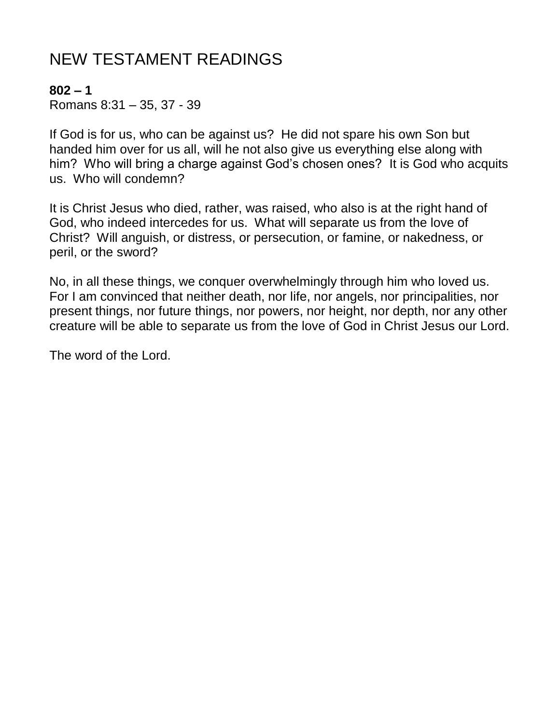# NEW TESTAMENT READINGS

#### **802 – 1**

Romans 8:31 – 35, 37 - 39

If God is for us, who can be against us? He did not spare his own Son but handed him over for us all, will he not also give us everything else along with him? Who will bring a charge against God's chosen ones? It is God who acquits us. Who will condemn?

It is Christ Jesus who died, rather, was raised, who also is at the right hand of God, who indeed intercedes for us. What will separate us from the love of Christ? Will anguish, or distress, or persecution, or famine, or nakedness, or peril, or the sword?

No, in all these things, we conquer overwhelmingly through him who loved us. For I am convinced that neither death, nor life, nor angels, nor principalities, nor present things, nor future things, nor powers, nor height, nor depth, nor any other creature will be able to separate us from the love of God in Christ Jesus our Lord.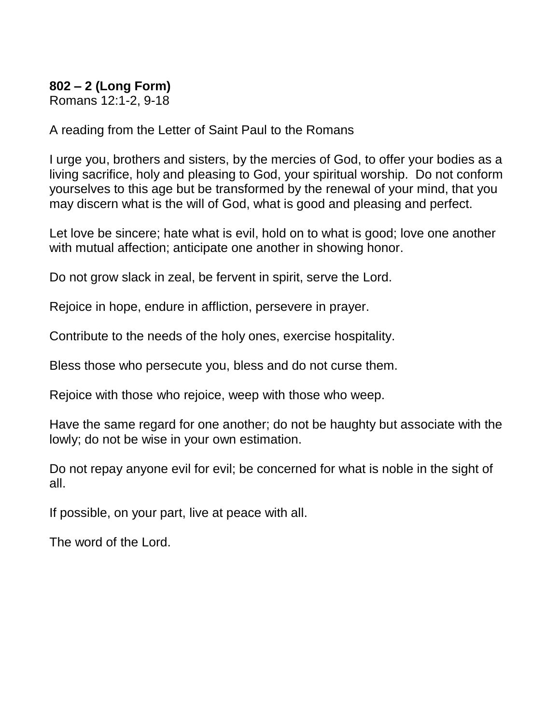### **802 – 2 (Long Form)**

Romans 12:1-2, 9-18

A reading from the Letter of Saint Paul to the Romans

I urge you, brothers and sisters, by the mercies of God, to offer your bodies as a living sacrifice, holy and pleasing to God, your spiritual worship. Do not conform yourselves to this age but be transformed by the renewal of your mind, that you may discern what is the will of God, what is good and pleasing and perfect.

Let love be sincere; hate what is evil, hold on to what is good; love one another with mutual affection; anticipate one another in showing honor.

Do not grow slack in zeal, be fervent in spirit, serve the Lord.

Rejoice in hope, endure in affliction, persevere in prayer.

Contribute to the needs of the holy ones, exercise hospitality.

Bless those who persecute you, bless and do not curse them.

Rejoice with those who rejoice, weep with those who weep.

Have the same regard for one another; do not be haughty but associate with the lowly; do not be wise in your own estimation.

Do not repay anyone evil for evil; be concerned for what is noble in the sight of all.

If possible, on your part, live at peace with all.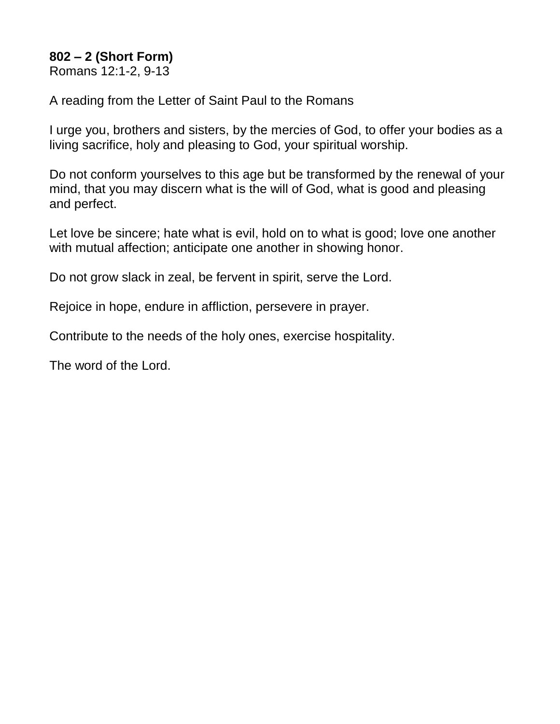## **802 – 2 (Short Form)**

Romans 12:1-2, 9-13

A reading from the Letter of Saint Paul to the Romans

I urge you, brothers and sisters, by the mercies of God, to offer your bodies as a living sacrifice, holy and pleasing to God, your spiritual worship.

Do not conform yourselves to this age but be transformed by the renewal of your mind, that you may discern what is the will of God, what is good and pleasing and perfect.

Let love be sincere; hate what is evil, hold on to what is good; love one another with mutual affection; anticipate one another in showing honor.

Do not grow slack in zeal, be fervent in spirit, serve the Lord.

Rejoice in hope, endure in affliction, persevere in prayer.

Contribute to the needs of the holy ones, exercise hospitality.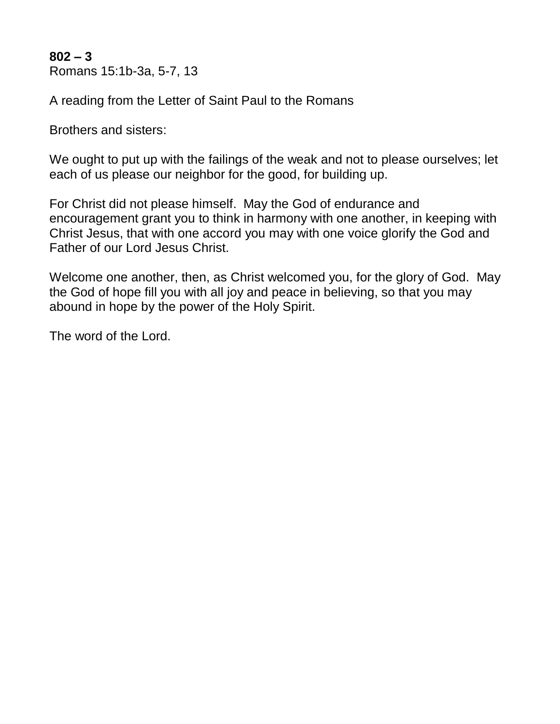**802 – 3** Romans 15:1b-3a, 5-7, 13

A reading from the Letter of Saint Paul to the Romans

Brothers and sisters:

We ought to put up with the failings of the weak and not to please ourselves; let each of us please our neighbor for the good, for building up.

For Christ did not please himself. May the God of endurance and encouragement grant you to think in harmony with one another, in keeping with Christ Jesus, that with one accord you may with one voice glorify the God and Father of our Lord Jesus Christ.

Welcome one another, then, as Christ welcomed you, for the glory of God. May the God of hope fill you with all joy and peace in believing, so that you may abound in hope by the power of the Holy Spirit.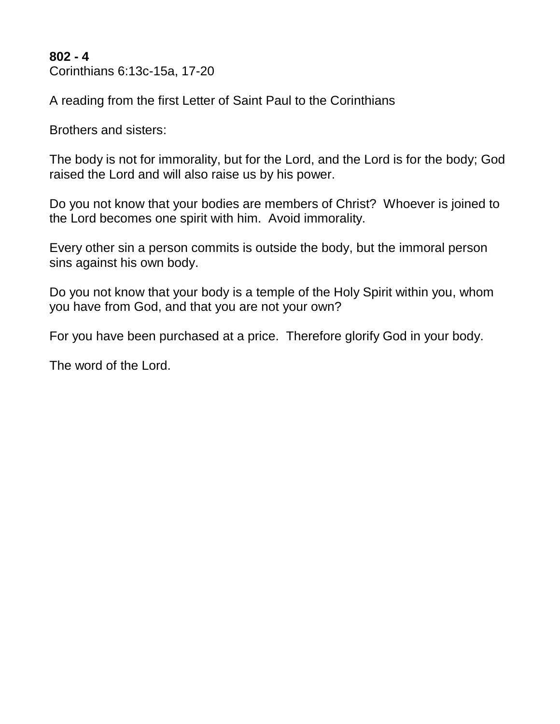**802 - 4** Corinthians 6:13c-15a, 17-20

A reading from the first Letter of Saint Paul to the Corinthians

Brothers and sisters:

The body is not for immorality, but for the Lord, and the Lord is for the body; God raised the Lord and will also raise us by his power.

Do you not know that your bodies are members of Christ? Whoever is joined to the Lord becomes one spirit with him. Avoid immorality.

Every other sin a person commits is outside the body, but the immoral person sins against his own body.

Do you not know that your body is a temple of the Holy Spirit within you, whom you have from God, and that you are not your own?

For you have been purchased at a price. Therefore glorify God in your body.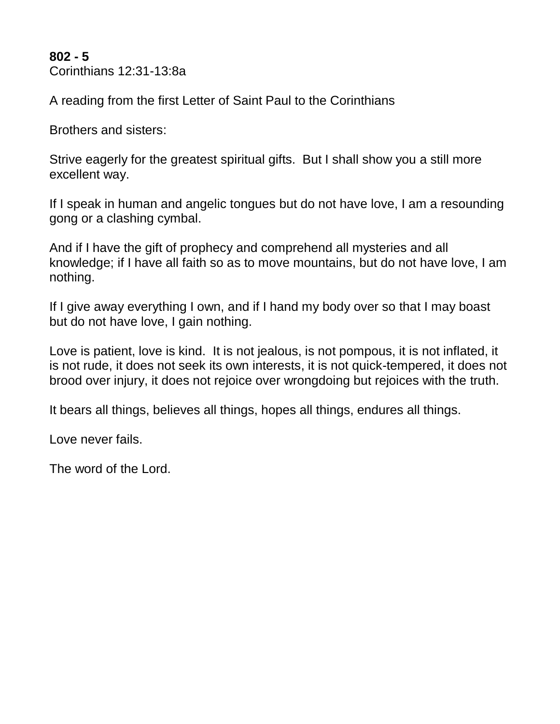**802 - 5** Corinthians 12:31-13:8a

A reading from the first Letter of Saint Paul to the Corinthians

Brothers and sisters:

Strive eagerly for the greatest spiritual gifts. But I shall show you a still more excellent way.

If I speak in human and angelic tongues but do not have love, I am a resounding gong or a clashing cymbal.

And if I have the gift of prophecy and comprehend all mysteries and all knowledge; if I have all faith so as to move mountains, but do not have love, I am nothing.

If I give away everything I own, and if I hand my body over so that I may boast but do not have love, I gain nothing.

Love is patient, love is kind. It is not jealous, is not pompous, it is not inflated, it is not rude, it does not seek its own interests, it is not quick-tempered, it does not brood over injury, it does not rejoice over wrongdoing but rejoices with the truth.

It bears all things, believes all things, hopes all things, endures all things.

Love never fails.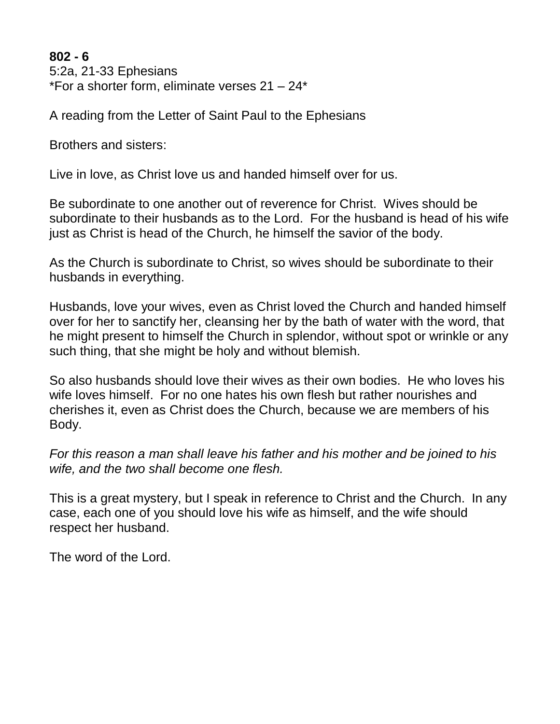**802 - 6** 5:2a, 21-33 Ephesians \*For a shorter form, eliminate verses  $21 - 24$ \*

A reading from the Letter of Saint Paul to the Ephesians

Brothers and sisters:

Live in love, as Christ love us and handed himself over for us.

Be subordinate to one another out of reverence for Christ. Wives should be subordinate to their husbands as to the Lord. For the husband is head of his wife just as Christ is head of the Church, he himself the savior of the body.

As the Church is subordinate to Christ, so wives should be subordinate to their husbands in everything.

Husbands, love your wives, even as Christ loved the Church and handed himself over for her to sanctify her, cleansing her by the bath of water with the word, that he might present to himself the Church in splendor, without spot or wrinkle or any such thing, that she might be holy and without blemish.

So also husbands should love their wives as their own bodies. He who loves his wife loves himself. For no one hates his own flesh but rather nourishes and cherishes it, even as Christ does the Church, because we are members of his Body.

*For this reason a man shall leave his father and his mother and be joined to his wife, and the two shall become one flesh.*

This is a great mystery, but I speak in reference to Christ and the Church. In any case, each one of you should love his wife as himself, and the wife should respect her husband.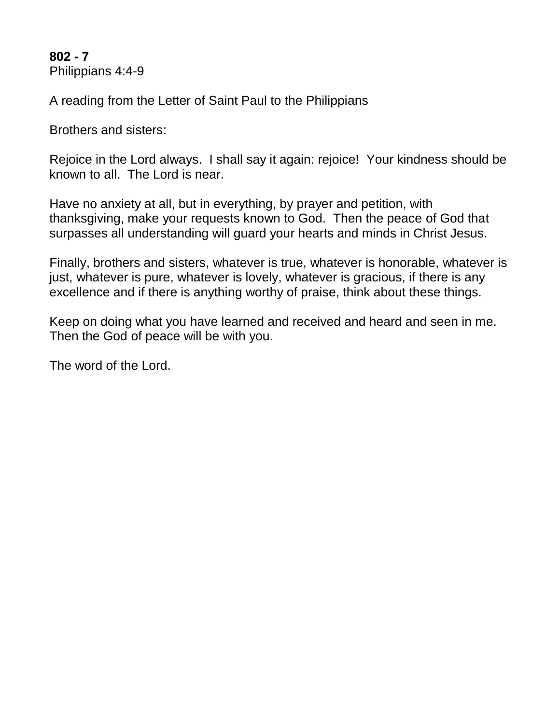**802 - 7** Philippians 4:4-9

A reading from the Letter of Saint Paul to the Philippians

Brothers and sisters:

Rejoice in the Lord always. I shall say it again: rejoice! Your kindness should be known to all. The Lord is near.

Have no anxiety at all, but in everything, by prayer and petition, with thanksgiving, make your requests known to God. Then the peace of God that surpasses all understanding will guard your hearts and minds in Christ Jesus.

Finally, brothers and sisters, whatever is true, whatever is honorable, whatever is just, whatever is pure, whatever is lovely, whatever is gracious, if there is any excellence and if there is anything worthy of praise, think about these things.

Keep on doing what you have learned and received and heard and seen in me. Then the God of peace will be with you.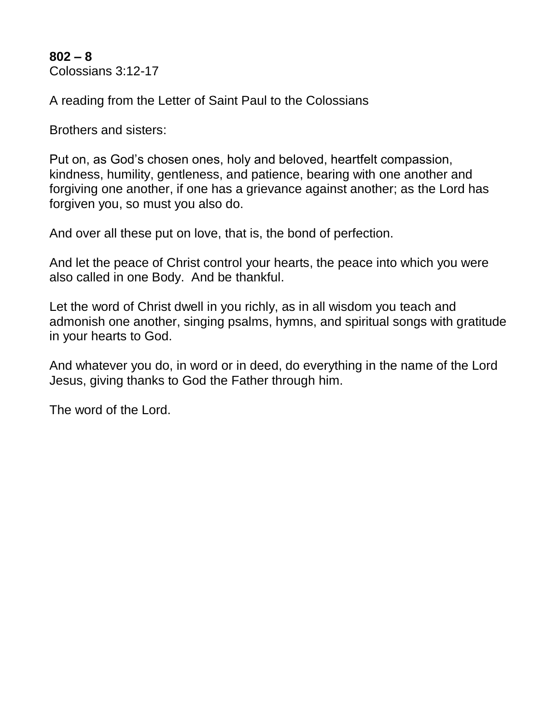**802 – 8** Colossians 3:12-17

A reading from the Letter of Saint Paul to the Colossians

Brothers and sisters:

Put on, as God's chosen ones, holy and beloved, heartfelt compassion, kindness, humility, gentleness, and patience, bearing with one another and forgiving one another, if one has a grievance against another; as the Lord has forgiven you, so must you also do.

And over all these put on love, that is, the bond of perfection.

And let the peace of Christ control your hearts, the peace into which you were also called in one Body. And be thankful.

Let the word of Christ dwell in you richly, as in all wisdom you teach and admonish one another, singing psalms, hymns, and spiritual songs with gratitude in your hearts to God.

And whatever you do, in word or in deed, do everything in the name of the Lord Jesus, giving thanks to God the Father through him.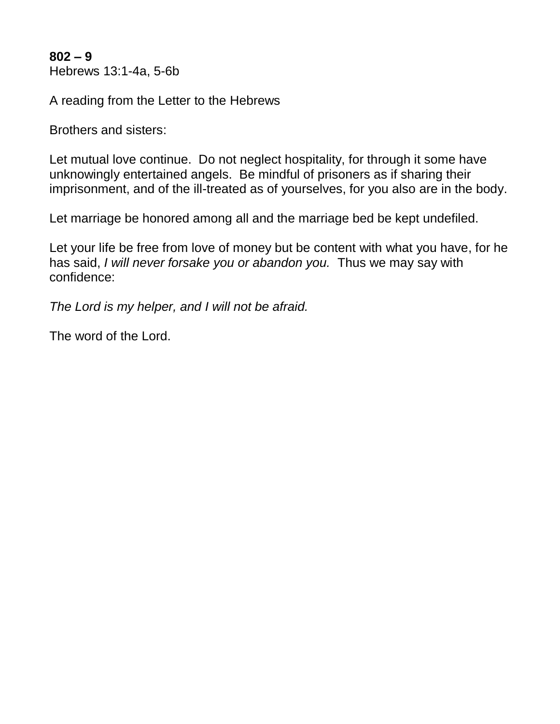**802 – 9** Hebrews 13:1-4a, 5-6b

A reading from the Letter to the Hebrews

Brothers and sisters:

Let mutual love continue. Do not neglect hospitality, for through it some have unknowingly entertained angels. Be mindful of prisoners as if sharing their imprisonment, and of the ill-treated as of yourselves, for you also are in the body.

Let marriage be honored among all and the marriage bed be kept undefiled.

Let your life be free from love of money but be content with what you have, for he has said, *I will never forsake you or abandon you.* Thus we may say with confidence:

*The Lord is my helper, and I will not be afraid.*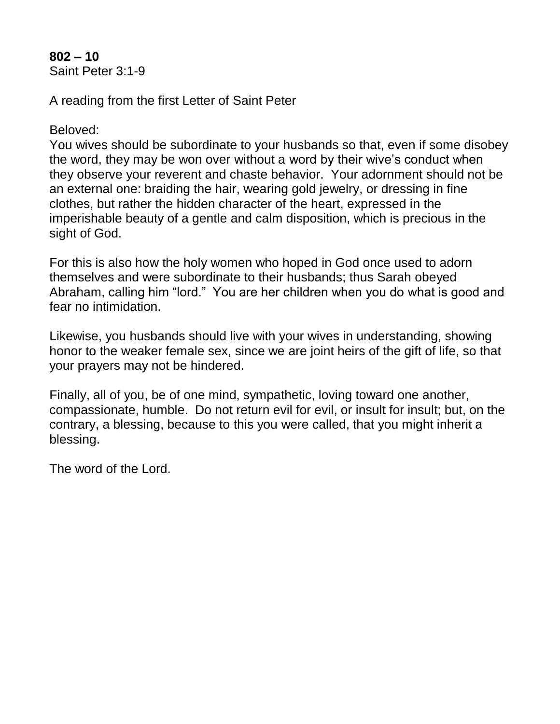#### **802 – 10** Saint Peter 3:1-9

A reading from the first Letter of Saint Peter

Beloved:

You wives should be subordinate to your husbands so that, even if some disobey the word, they may be won over without a word by their wive's conduct when they observe your reverent and chaste behavior. Your adornment should not be an external one: braiding the hair, wearing gold jewelry, or dressing in fine clothes, but rather the hidden character of the heart, expressed in the imperishable beauty of a gentle and calm disposition, which is precious in the sight of God.

For this is also how the holy women who hoped in God once used to adorn themselves and were subordinate to their husbands; thus Sarah obeyed Abraham, calling him "lord." You are her children when you do what is good and fear no intimidation.

Likewise, you husbands should live with your wives in understanding, showing honor to the weaker female sex, since we are joint heirs of the gift of life, so that your prayers may not be hindered.

Finally, all of you, be of one mind, sympathetic, loving toward one another, compassionate, humble. Do not return evil for evil, or insult for insult; but, on the contrary, a blessing, because to this you were called, that you might inherit a blessing.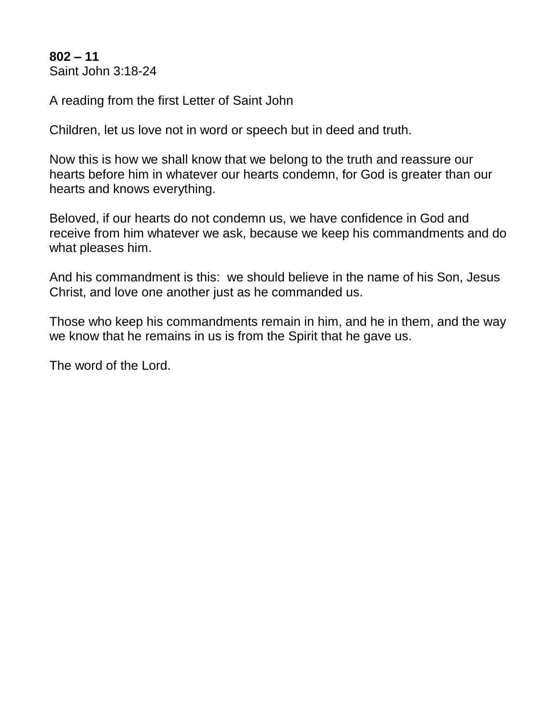**802 – 11** Saint John 3:18-24

A reading from the first Letter of Saint John

Children, let us love not in word or speech but in deed and truth.

Now this is how we shall know that we belong to the truth and reassure our hearts before him in whatever our hearts condemn, for God is greater than our hearts and knows everything.

Beloved, if our hearts do not condemn us, we have confidence in God and receive from him whatever we ask, because we keep his commandments and do what pleases him.

And his commandment is this: we should believe in the name of his Son, Jesus Christ, and love one another just as he commanded us.

Those who keep his commandments remain in him, and he in them, and the way we know that he remains in us is from the Spirit that he gave us.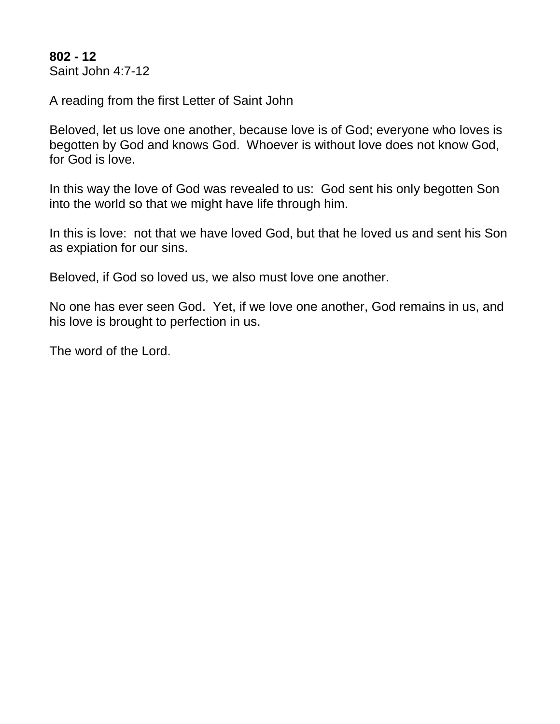**802 - 12** Saint John 4:7-12

A reading from the first Letter of Saint John

Beloved, let us love one another, because love is of God; everyone who loves is begotten by God and knows God. Whoever is without love does not know God, for God is love.

In this way the love of God was revealed to us: God sent his only begotten Son into the world so that we might have life through him.

In this is love: not that we have loved God, but that he loved us and sent his Son as expiation for our sins.

Beloved, if God so loved us, we also must love one another.

No one has ever seen God. Yet, if we love one another, God remains in us, and his love is brought to perfection in us.